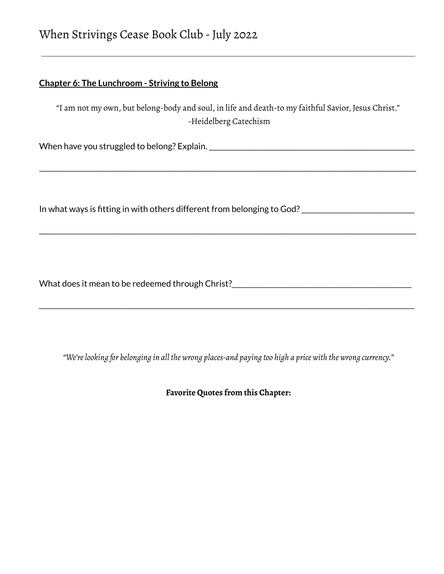# **Chapter 6: The Lunchroom - Striving to Belong**

"I am not my own, but belong-body and soul, in life and death-to my faithful Savior, Jesus Christ." -Heidelberg Catechism

\_\_\_\_\_\_\_\_\_\_\_\_\_\_\_\_\_\_\_\_\_\_\_\_\_\_\_\_\_\_\_\_\_\_\_\_\_\_\_\_\_\_\_\_\_\_\_\_\_\_\_\_\_\_\_\_\_\_\_\_\_\_\_\_\_\_\_\_\_\_\_\_\_\_\_\_\_\_\_\_\_\_\_\_\_\_\_\_\_\_\_\_\_\_\_\_\_\_\_\_\_\_\_\_\_\_\_\_\_\_

\_\_\_\_\_\_\_\_\_\_\_\_\_\_\_\_\_\_\_\_\_\_\_\_\_\_\_\_\_\_\_\_\_\_\_\_\_\_\_\_\_\_\_\_\_\_\_\_\_\_\_\_\_\_\_\_\_\_\_\_\_\_\_\_\_\_\_\_\_\_\_\_\_\_\_\_\_\_\_\_\_\_\_\_\_\_\_\_\_\_\_\_\_\_\_\_\_\_\_\_\_\_\_\_\_\_\_\_\_\_

When have you struggled to belong? Explain.\_\_\_\_\_\_\_\_\_\_\_\_\_\_\_\_\_\_\_\_\_\_\_\_\_\_\_\_\_\_\_\_\_\_\_\_\_\_\_\_\_\_\_\_\_\_\_\_\_\_\_\_\_\_\_\_\_\_\_\_

In what ways is fitting in with others different from belonging to God?\_\_\_\_\_\_\_\_\_\_\_\_\_\_\_\_\_\_\_\_\_\_\_\_\_\_\_\_\_\_\_\_\_

What does it mean to be redeemed through Christ?*\_\_\_\_\_\_\_\_\_\_\_\_\_\_\_\_\_\_\_\_\_\_\_\_\_\_\_\_\_\_\_\_\_\_\_\_\_\_\_\_\_\_\_\_\_\_\_\_\_\_\_\_\_\_\_\_\_*

*"We'relooking for belonging in all the wrong places-and paying too high a price with the wrong currency."*

*\_\_\_\_\_\_\_\_\_\_\_\_\_\_\_\_\_\_\_\_\_\_\_\_\_\_\_\_\_\_\_\_\_\_\_\_\_\_\_\_\_\_\_\_\_\_\_\_\_\_\_\_\_\_\_\_\_\_\_\_\_\_\_\_\_\_\_\_\_\_\_\_\_\_\_\_\_\_\_\_\_\_\_\_\_\_\_\_\_\_\_\_\_\_\_\_\_\_\_\_\_\_\_\_\_\_\_\_\_\_\_\_\_\_\_\_\_\_\_*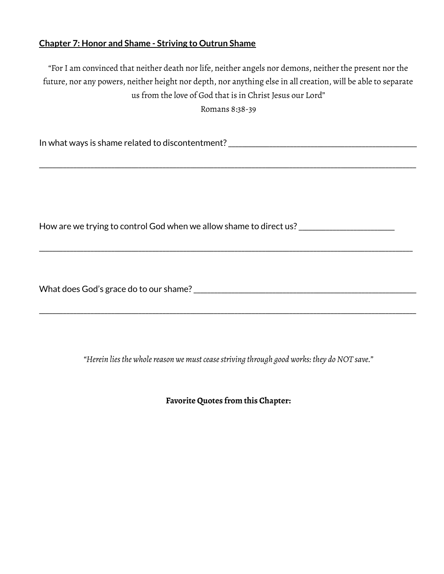#### **Chapter 7: Honor and Shame - Striving to Outrun Shame**

"For I am convinced that neither death nor life, neither angels nor demons, neither the present nor the future, nor any powers, neither height nor depth, nor anything else in all creation, will be able to separate us from the love of God that is in Christ Jesus our Lord"

Romans 8:38-39

\_\_\_\_\_\_\_\_\_\_\_\_\_\_\_\_\_\_\_\_\_\_\_\_\_\_\_\_\_\_\_\_\_\_\_\_\_\_\_\_\_\_\_\_\_\_\_\_\_\_\_\_\_\_\_\_\_\_\_\_\_\_\_\_\_\_\_\_\_\_\_\_\_\_\_\_\_\_\_\_\_\_\_\_\_\_\_\_\_\_\_\_\_\_\_\_\_\_\_\_\_\_\_\_\_\_\_\_\_\_

In what ways is shame related to discontentment?\_\_\_\_\_\_\_\_\_\_\_\_\_\_\_\_\_\_\_\_\_\_\_\_\_\_\_\_\_\_\_\_\_\_\_\_\_\_\_\_\_\_\_\_\_\_\_\_\_\_\_\_\_\_\_

How are we trying to control God when we allow shame to direct us? \_\_\_\_\_\_\_\_\_\_\_\_\_\_\_\_\_\_\_\_

\_\_\_\_\_\_\_\_\_\_\_\_\_\_\_\_\_\_\_\_\_\_\_\_\_\_\_\_\_\_\_\_\_\_\_\_\_\_\_\_\_\_\_\_\_\_\_\_\_\_\_\_\_\_\_\_\_\_\_\_\_\_\_\_\_\_\_\_\_\_\_\_\_\_\_\_\_\_\_\_\_\_\_\_\_\_\_\_\_\_\_\_\_\_\_\_\_\_\_\_\_\_\_\_\_\_\_\_\_

What does God's grace do to our shame?<br>

*"Herein liesthe wholereason we mustceasestriving through good works: they doNOT save."*

\_\_\_\_\_\_\_\_\_\_\_\_\_\_\_\_\_\_\_\_\_\_\_\_\_\_\_\_\_\_\_\_\_\_\_\_\_\_\_\_\_\_\_\_\_\_\_\_\_\_\_\_\_\_\_\_\_\_\_\_\_\_\_\_\_\_\_\_\_\_\_\_\_\_\_\_\_\_\_\_\_\_\_\_\_\_\_\_\_\_\_\_\_\_\_\_\_\_\_\_\_\_\_\_\_\_\_\_\_\_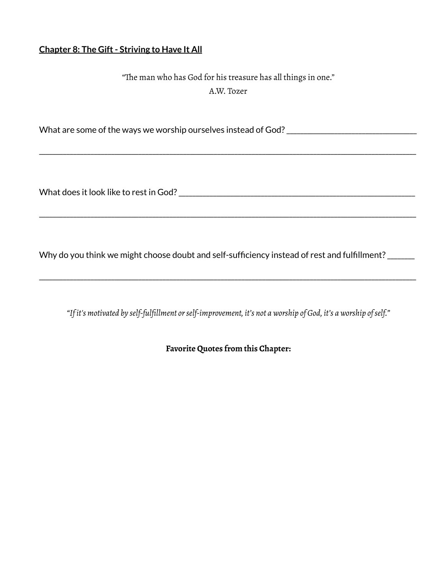# **Chapter 8: The Gift- Striving to Have It All**

"The man who has God for his treasure has all things in one." A.W. Tozer

\_\_\_\_\_\_\_\_\_\_\_\_\_\_\_\_\_\_\_\_\_\_\_\_\_\_\_\_\_\_\_\_\_\_\_\_\_\_\_\_\_\_\_\_\_\_\_\_\_\_\_\_\_\_\_\_\_\_\_\_\_\_\_\_\_\_\_\_\_\_\_\_\_\_\_\_\_\_\_\_\_\_\_\_\_\_\_\_\_\_\_\_\_\_\_\_\_\_\_\_\_\_\_\_\_\_\_\_\_\_

\_\_\_\_\_\_\_\_\_\_\_\_\_\_\_\_\_\_\_\_\_\_\_\_\_\_\_\_\_\_\_\_\_\_\_\_\_\_\_\_\_\_\_\_\_\_\_\_\_\_\_\_\_\_\_\_\_\_\_\_\_\_\_\_\_\_\_\_\_\_\_\_\_\_\_\_\_\_\_\_\_\_\_\_\_\_\_\_\_\_\_\_\_\_\_\_\_\_\_\_\_\_\_\_\_\_\_\_\_\_

What are some of the ways we worship ourselves instead of God?\_\_\_\_\_\_\_\_\_\_\_\_\_\_\_\_\_\_\_\_\_\_\_\_\_\_\_\_\_\_\_\_\_\_\_\_\_\_

What does it look like to rest in God?\_\_\_\_\_\_\_\_\_\_\_\_\_\_\_\_\_\_\_\_\_\_\_\_\_\_\_\_\_\_\_\_\_\_\_\_\_\_\_\_\_\_\_\_\_\_\_\_\_\_\_\_\_\_\_\_\_\_\_\_\_\_\_\_\_\_\_\_\_

Why do you think we might choose doubt and self-sufficiency instead of rest and fulfillment? \_\_\_\_\_\_

*"If it's motivated by self-fulfillment orself-improvement, it's not a worship of God, it's a worship ofself."*

\_\_\_\_\_\_\_\_\_\_\_\_\_\_\_\_\_\_\_\_\_\_\_\_\_\_\_\_\_\_\_\_\_\_\_\_\_\_\_\_\_\_\_\_\_\_\_\_\_\_\_\_\_\_\_\_\_\_\_\_\_\_\_\_\_\_\_\_\_\_\_\_\_\_\_\_\_\_\_\_\_\_\_\_\_\_\_\_\_\_\_\_\_\_\_\_\_\_\_\_\_\_\_\_\_\_\_\_\_\_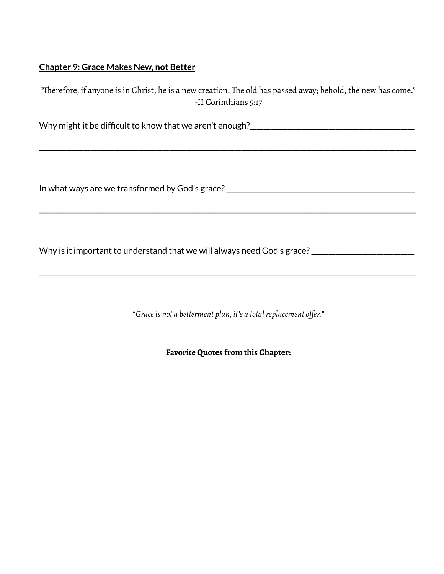## **Chapter 9: Grace Makes New, not Better**

| "Therefore, if anyone is in Christ, he is a new creation. The old has passed away; behold, the new has come." |
|---------------------------------------------------------------------------------------------------------------|
| -II Corinthians 5:17                                                                                          |

\_\_\_\_\_\_\_\_\_\_\_\_\_\_\_\_\_\_\_\_\_\_\_\_\_\_\_\_\_\_\_\_\_\_\_\_\_\_\_\_\_\_\_\_\_\_\_\_\_\_\_\_\_\_\_\_\_\_\_\_\_\_\_\_\_\_\_\_\_\_\_\_\_\_\_\_\_\_\_\_\_\_\_\_\_\_\_\_\_\_\_\_\_\_\_\_\_\_\_\_\_\_\_\_\_\_\_\_\_\_

\_\_\_\_\_\_\_\_\_\_\_\_\_\_\_\_\_\_\_\_\_\_\_\_\_\_\_\_\_\_\_\_\_\_\_\_\_\_\_\_\_\_\_\_\_\_\_\_\_\_\_\_\_\_\_\_\_\_\_\_\_\_\_\_\_\_\_\_\_\_\_\_\_\_\_\_\_\_\_\_\_\_\_\_\_\_\_\_\_\_\_\_\_\_\_\_\_\_\_\_\_\_\_\_\_\_\_\_\_\_

Why might it be difficult to know that we aren't enough?<br>

In what ways are we transformed by God's grace?\_\_\_\_\_\_\_\_\_\_\_\_\_\_\_\_\_\_\_\_\_\_\_\_\_\_\_\_\_\_\_\_\_\_\_\_\_\_\_\_\_\_\_\_\_\_\_\_\_\_\_\_\_\_\_

Why is it important to understand that we will always need God's grace?\_\_\_\_\_\_\_\_\_\_\_\_\_\_\_\_\_\_\_\_\_\_\_\_\_\_\_\_\_\_

*"Graceis not a betterment plan, it's a totalreplacement offer."*

\_\_\_\_\_\_\_\_\_\_\_\_\_\_\_\_\_\_\_\_\_\_\_\_\_\_\_\_\_\_\_\_\_\_\_\_\_\_\_\_\_\_\_\_\_\_\_\_\_\_\_\_\_\_\_\_\_\_\_\_\_\_\_\_\_\_\_\_\_\_\_\_\_\_\_\_\_\_\_\_\_\_\_\_\_\_\_\_\_\_\_\_\_\_\_\_\_\_\_\_\_\_\_\_\_\_\_\_\_\_